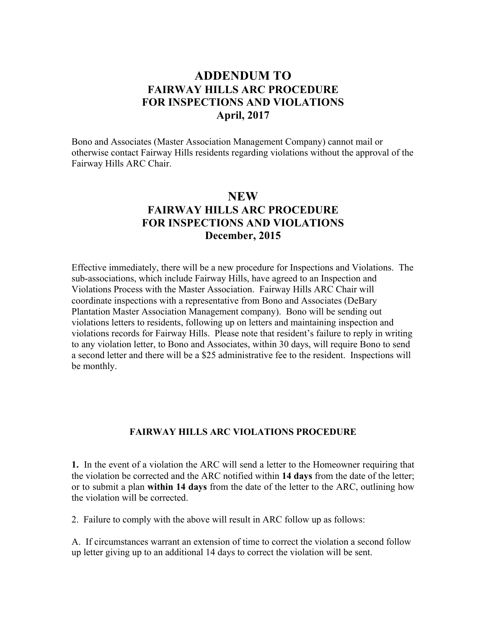## **ADDENDUM TO FAIRWAY HILLS ARC PROCEDURE FOR INSPECTIONS AND VIOLATIONS April, 2017**

Bono and Associates (Master Association Management Company) cannot mail or otherwise contact Fairway Hills residents regarding violations without the approval of the Fairway Hills ARC Chair.

## **NEW FAIRWAY HILLS ARC PROCEDURE FOR INSPECTIONS AND VIOLATIONS December, 2015**

Effective immediately, there will be a new procedure for Inspections and Violations. The sub-associations, which include Fairway Hills, have agreed to an Inspection and Violations Process with the Master Association. Fairway Hills ARC Chair will coordinate inspections with a representative from Bono and Associates (DeBary Plantation Master Association Management company). Bono will be sending out violations letters to residents, following up on letters and maintaining inspection and violations records for Fairway Hills. Please note that resident's failure to reply in writing to any violation letter, to Bono and Associates, within 30 days, will require Bono to send a second letter and there will be a \$25 administrative fee to the resident. Inspections will be monthly.

## **FAIRWAY HILLS ARC VIOLATIONS PROCEDURE**

**1.** In the event of a violation the ARC will send a letter to the Homeowner requiring that the violation be corrected and the ARC notified within **14 days** from the date of the letter; or to submit a plan **within 14 days** from the date of the letter to the ARC, outlining how the violation will be corrected.

2. Failure to comply with the above will result in ARC follow up as follows:

A. If circumstances warrant an extension of time to correct the violation a second follow up letter giving up to an additional 14 days to correct the violation will be sent.